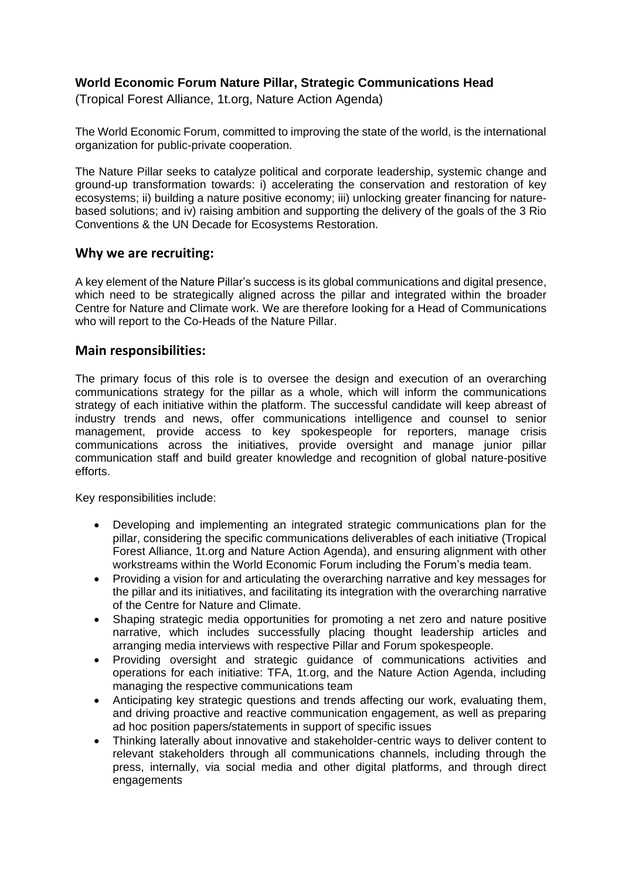### **World Economic Forum Nature Pillar, Strategic Communications Head**

(Tropical Forest Alliance, 1t.org, Nature Action Agenda)

The World Economic Forum, committed to improving the state of the world, is the international organization for public-private cooperation.

The Nature Pillar seeks to catalyze political and corporate leadership, systemic change and ground-up transformation towards: i) accelerating the conservation and restoration of key ecosystems; ii) building a nature positive economy; iii) unlocking greater financing for naturebased solutions; and iv) raising ambition and supporting the delivery of the goals of the 3 Rio Conventions & the UN Decade for Ecosystems Restoration.

#### **Why we are recruiting:**

A key element of the Nature Pillar's success is its global communications and digital presence, which need to be strategically aligned across the pillar and integrated within the broader Centre for Nature and Climate work. We are therefore looking for a Head of Communications who will report to the Co-Heads of the Nature Pillar.

#### **Main responsibilities:**

The primary focus of this role is to oversee the design and execution of an overarching communications strategy for the pillar as a whole, which will inform the communications strategy of each initiative within the platform. The successful candidate will keep abreast of industry trends and news, offer communications intelligence and counsel to senior management, provide access to key spokespeople for reporters, manage crisis communications across the initiatives, provide oversight and manage junior pillar communication staff and build greater knowledge and recognition of global nature-positive efforts.

Key responsibilities include:

- Developing and implementing an integrated strategic communications plan for the pillar, considering the specific communications deliverables of each initiative (Tropical Forest Alliance, 1t.org and Nature Action Agenda), and ensuring alignment with other workstreams within the World Economic Forum including the Forum's media team.
- Providing a vision for and articulating the overarching narrative and key messages for the pillar and its initiatives, and facilitating its integration with the overarching narrative of the Centre for Nature and Climate.
- Shaping strategic media opportunities for promoting a net zero and nature positive narrative, which includes successfully placing thought leadership articles and arranging media interviews with respective Pillar and Forum spokespeople.
- Providing oversight and strategic guidance of communications activities and operations for each initiative: TFA, 1t.org, and the Nature Action Agenda, including managing the respective communications team
- Anticipating key strategic questions and trends affecting our work, evaluating them, and driving proactive and reactive communication engagement, as well as preparing ad hoc position papers/statements in support of specific issues
- Thinking laterally about innovative and stakeholder-centric ways to deliver content to relevant stakeholders through all communications channels, including through the press, internally, via social media and other digital platforms, and through direct engagements